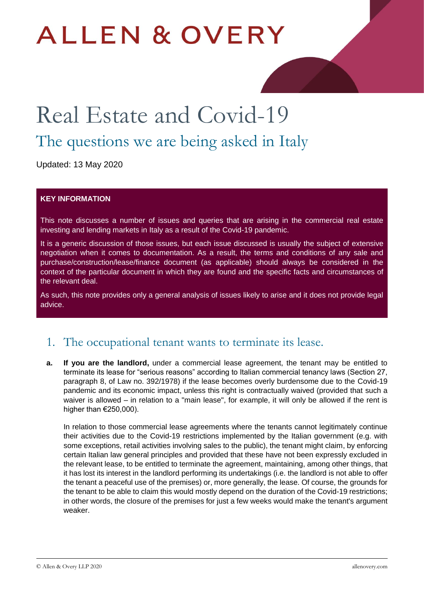# **ALLEN & OVERY**

# Real Estate and Covid-19

## The questions we are being asked in Italy

Updated: 13 May 2020

#### **KEY INFORMATION**

This note discusses a number of issues and queries that are arising in the commercial real estate investing and lending markets in Italy as a result of the Covid-19 pandemic.

It is a generic discussion of those issues, but each issue discussed is usually the subject of extensive negotiation when it comes to documentation. As a result, the terms and conditions of any sale and purchase/construction/lease/finance document (as applicable) should always be considered in the context of the particular document in which they are found and the specific facts and circumstances of the relevant deal.

As such, this note provides only a general analysis of issues likely to arise and it does not provide legal advice.

#### 1. The occupational tenant wants to terminate its lease.

**a. If you are the landlord,** under a commercial lease agreement, the tenant may be entitled to terminate its lease for "serious reasons" according to Italian commercial tenancy laws (Section 27, paragraph 8, of Law no. 392/1978) if the lease becomes overly burdensome due to the Covid-19 pandemic and its economic impact, unless this right is contractually waived (provided that such a waiver is allowed – in relation to a "main lease", for example, it will only be allowed if the rent is higher than €250,000).

In relation to those commercial lease agreements where the tenants cannot legitimately continue their activities due to the Covid-19 restrictions implemented by the Italian government (e.g. with some exceptions, retail activities involving sales to the public), the tenant might claim, by enforcing certain Italian law general principles and provided that these have not been expressly excluded in the relevant lease, to be entitled to terminate the agreement, maintaining, among other things, that it has lost its interest in the landlord performing its undertakings (i.e. the landlord is not able to offer the tenant a peaceful use of the premises) or, more generally, the lease. Of course, the grounds for the tenant to be able to claim this would mostly depend on the duration of the Covid-19 restrictions; in other words, the closure of the premises for just a few weeks would make the tenant's argument weaker.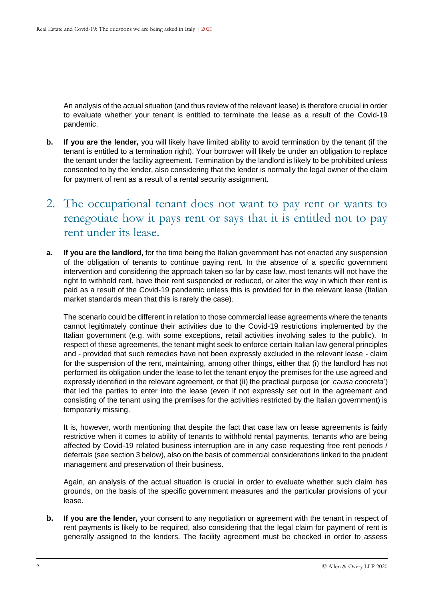An analysis of the actual situation (and thus review of the relevant lease) is therefore crucial in order to evaluate whether your tenant is entitled to terminate the lease as a result of the Covid-19 pandemic.

- **b. If you are the lender***,* you will likely have limited ability to avoid termination by the tenant (if the tenant is entitled to a termination right). Your borrower will likely be under an obligation to replace the tenant under the facility agreement. Termination by the landlord is likely to be prohibited unless consented to by the lender, also considering that the lender is normally the legal owner of the claim for payment of rent as a result of a rental security assignment.
- 2. The occupational tenant does not want to pay rent or wants to renegotiate how it pays rent or says that it is entitled not to pay rent under its lease.
- **a. If you are the landlord,** for the time being the Italian government has not enacted any suspension of the obligation of tenants to continue paying rent. In the absence of a specific government intervention and considering the approach taken so far by case law, most tenants will not have the right to withhold rent, have their rent suspended or reduced, or alter the way in which their rent is paid as a result of the Covid-19 pandemic unless this is provided for in the relevant lease (Italian market standards mean that this is rarely the case).

The scenario could be different in relation to those commercial lease agreements where the tenants cannot legitimately continue their activities due to the Covid-19 restrictions implemented by the Italian government (e.g. with some exceptions, retail activities involving sales to the public). In respect of these agreements, the tenant might seek to enforce certain Italian law general principles and - provided that such remedies have not been expressly excluded in the relevant lease - claim for the suspension of the rent, maintaining, among other things, either that (i) the landlord has not performed its obligation under the lease to let the tenant enjoy the premises for the use agreed and expressly identified in the relevant agreement, or that (ii) the practical purpose (or '*causa concreta*') that led the parties to enter into the lease (even if not expressly set out in the agreement and consisting of the tenant using the premises for the activities restricted by the Italian government) is temporarily missing.

It is, however, worth mentioning that despite the fact that case law on lease agreements is fairly restrictive when it comes to ability of tenants to withhold rental payments, tenants who are being affected by Covid-19 related business interruption are in any case requesting free rent periods / deferrals (see section 3 below), also on the basis of commercial considerations linked to the prudent management and preservation of their business.

Again, an analysis of the actual situation is crucial in order to evaluate whether such claim has grounds, on the basis of the specific government measures and the particular provisions of your lease.

**b. If you are the lender***,* your consent to any negotiation or agreement with the tenant in respect of rent payments is likely to be required, also considering that the legal claim for payment of rent is generally assigned to the lenders. The facility agreement must be checked in order to assess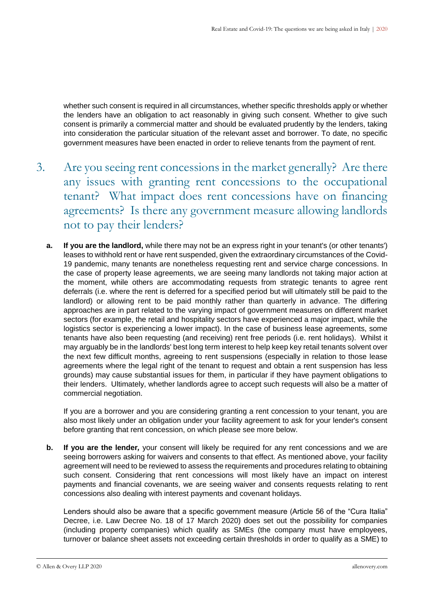whether such consent is required in all circumstances, whether specific thresholds apply or whether the lenders have an obligation to act reasonably in giving such consent. Whether to give such consent is primarily a commercial matter and should be evaluated prudently by the lenders, taking into consideration the particular situation of the relevant asset and borrower. To date, no specific government measures have been enacted in order to relieve tenants from the payment of rent.

- 3. Are you seeing rent concessions in the market generally? Are there any issues with granting rent concessions to the occupational tenant? What impact does rent concessions have on financing agreements? Is there any government measure allowing landlords not to pay their lenders?
	- **a. If you are the landlord,** while there may not be an express right in your tenant's (or other tenants') leases to withhold rent or have rent suspended, given the extraordinary circumstances of the Covid-19 pandemic, many tenants are nonetheless requesting rent and service charge concessions. In the case of property lease agreements, we are seeing many landlords not taking major action at the moment, while others are accommodating requests from strategic tenants to agree rent deferrals (i.e. where the rent is deferred for a specified period but will ultimately still be paid to the landlord) or allowing rent to be paid monthly rather than quarterly in advance. The differing approaches are in part related to the varying impact of government measures on different market sectors (for example, the retail and hospitality sectors have experienced a major impact, while the logistics sector is experiencing a lower impact). In the case of business lease agreements, some tenants have also been requesting (and receiving) rent free periods (i.e. rent holidays). Whilst it may arguably be in the landlords' best long term interest to help keep key retail tenants solvent over the next few difficult months, agreeing to rent suspensions (especially in relation to those lease agreements where the legal right of the tenant to request and obtain a rent suspension has less grounds) may cause substantial issues for them, in particular if they have payment obligations to their lenders. Ultimately, whether landlords agree to accept such requests will also be a matter of commercial negotiation.

If you are a borrower and you are considering granting a rent concession to your tenant, you are also most likely under an obligation under your facility agreement to ask for your lender's consent before granting that rent concession, on which please see more below.

**b. If you are the lender***,* your consent will likely be required for any rent concessions and we are seeing borrowers asking for waivers and consents to that effect. As mentioned above, your facility agreement will need to be reviewed to assess the requirements and procedures relating to obtaining such consent. Considering that rent concessions will most likely have an impact on interest payments and financial covenants, we are seeing waiver and consents requests relating to rent concessions also dealing with interest payments and covenant holidays.

Lenders should also be aware that a specific government measure (Article 56 of the "Cura Italia" Decree, i.e. Law Decree No. 18 of 17 March 2020) does set out the possibility for companies (including property companies) which qualify as SMEs (the company must have employees, turnover or balance sheet assets not exceeding certain thresholds in order to qualify as a SME) to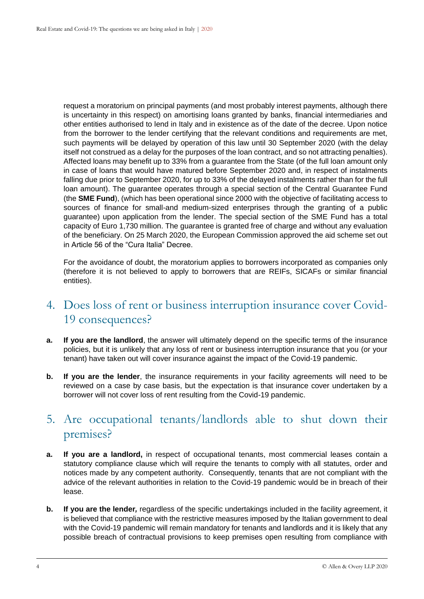request a moratorium on principal payments (and most probably interest payments, although there is uncertainty in this respect) on amortising loans granted by banks, financial intermediaries and other entities authorised to lend in Italy and in existence as of the date of the decree. Upon notice from the borrower to the lender certifying that the relevant conditions and requirements are met, such payments will be delayed by operation of this law until 30 September 2020 (with the delay itself not construed as a delay for the purposes of the loan contract, and so not attracting penalties). Affected loans may benefit up to 33% from a guarantee from the State (of the full loan amount only in case of loans that would have matured before September 2020 and, in respect of instalments falling due prior to September 2020, for up to 33% of the delayed instalments rather than for the full loan amount). The guarantee operates through a special section of the Central Guarantee Fund (the **SME Fund**), (which has been operational since 2000 with the objective of facilitating access to sources of finance for small-and medium-sized enterprises through the granting of a public guarantee) upon application from the lender. The special section of the SME Fund has a total capacity of Euro 1,730 million. The guarantee is granted free of charge and without any evaluation of the beneficiary. On 25 March 2020, the European Commission approved the aid scheme set out in Article 56 of the "Cura Italia" Decree.

For the avoidance of doubt, the moratorium applies to borrowers incorporated as companies only (therefore it is not believed to apply to borrowers that are REIFs, SICAFs or similar financial entities).

#### 4. Does loss of rent or business interruption insurance cover Covid-19 consequences?

- **a. If you are the landlord**, the answer will ultimately depend on the specific terms of the insurance policies, but it is unlikely that any loss of rent or business interruption insurance that you (or your tenant) have taken out will cover insurance against the impact of the Covid-19 pandemic.
- **b. If you are the lender**, the insurance requirements in your facility agreements will need to be reviewed on a case by case basis, but the expectation is that insurance cover undertaken by a borrower will not cover loss of rent resulting from the Covid-19 pandemic.

#### 5. Are occupational tenants/landlords able to shut down their premises?

- **a. If you are a landlord,** in respect of occupational tenants, most commercial leases contain a statutory compliance clause which will require the tenants to comply with all statutes, order and notices made by any competent authority. Consequently, tenants that are not compliant with the advice of the relevant authorities in relation to the Covid-19 pandemic would be in breach of their lease.
- **b. If you are the lender***,* regardless of the specific undertakings included in the facility agreement, it is believed that compliance with the restrictive measures imposed by the Italian government to deal with the Covid-19 pandemic will remain mandatory for tenants and landlords and it is likely that any possible breach of contractual provisions to keep premises open resulting from compliance with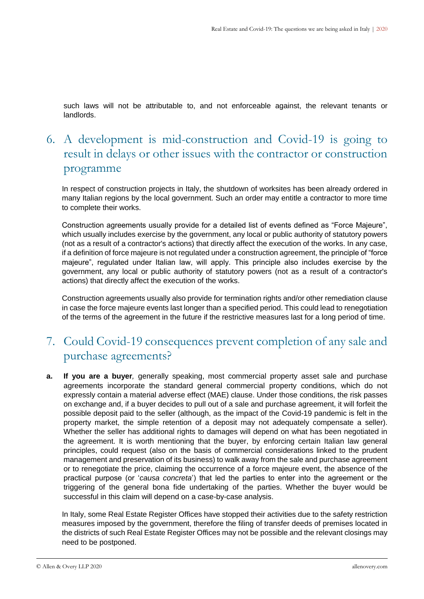such laws will not be attributable to, and not enforceable against, the relevant tenants or landlords.

### 6. A development is mid-construction and Covid-19 is going to result in delays or other issues with the contractor or construction programme

In respect of construction projects in Italy, the shutdown of worksites has been already ordered in many Italian regions by the local government. Such an order may entitle a contractor to more time to complete their works.

Construction agreements usually provide for a detailed list of events defined as "Force Majeure", which usually includes exercise by the government, any local or public authority of statutory powers (not as a result of a contractor's actions) that directly affect the execution of the works. In any case, if a definition of force majeure is not regulated under a construction agreement, the principle of "force majeure", regulated under Italian law, will apply. This principle also includes exercise by the government, any local or public authority of statutory powers (not as a result of a contractor's actions) that directly affect the execution of the works.

Construction agreements usually also provide for termination rights and/or other remediation clause in case the force majeure events last longer than a specified period. This could lead to renegotiation of the terms of the agreement in the future if the restrictive measures last for a long period of time.

### 7. Could Covid-19 consequences prevent completion of any sale and purchase agreements?

**a. If you are a buyer***,* generally speaking, most commercial property asset sale and purchase agreements incorporate the standard general commercial property conditions, which do not expressly contain a material adverse effect (MAE) clause. Under those conditions, the risk passes on exchange and, if a buyer decides to pull out of a sale and purchase agreement, it will forfeit the possible deposit paid to the seller (although, as the impact of the Covid-19 pandemic is felt in the property market, the simple retention of a deposit may not adequately compensate a seller). Whether the seller has additional rights to damages will depend on what has been negotiated in the agreement. It is worth mentioning that the buyer, by enforcing certain Italian law general principles, could request (also on the basis of commercial considerations linked to the prudent management and preservation of its business) to walk away from the sale and purchase agreement or to renegotiate the price, claiming the occurrence of a force majeure event, the absence of the practical purpose (or '*causa concreta*') that led the parties to enter into the agreement or the triggering of the general bona fide undertaking of the parties. Whether the buyer would be successful in this claim will depend on a case-by-case analysis.

In Italy, some Real Estate Register Offices have stopped their activities due to the safety restriction measures imposed by the government, therefore the filing of transfer deeds of premises located in the districts of such Real Estate Register Offices may not be possible and the relevant closings may need to be postponed.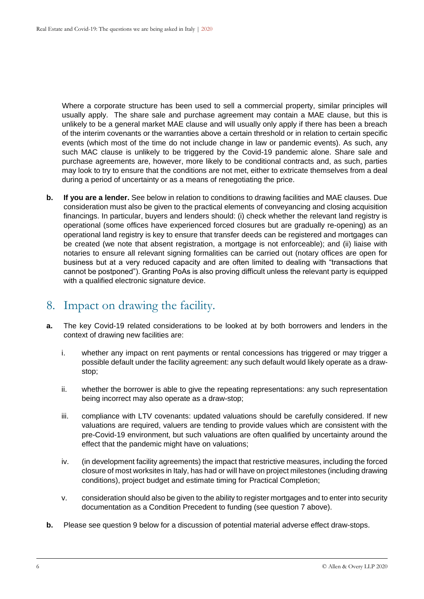Where a corporate structure has been used to sell a commercial property, similar principles will usually apply. The share sale and purchase agreement may contain a MAE clause, but this is unlikely to be a general market MAE clause and will usually only apply if there has been a breach of the interim covenants or the warranties above a certain threshold or in relation to certain specific events (which most of the time do not include change in law or pandemic events). As such, any such MAC clause is unlikely to be triggered by the Covid-19 pandemic alone. Share sale and purchase agreements are, however, more likely to be conditional contracts and, as such, parties may look to try to ensure that the conditions are not met, either to extricate themselves from a deal during a period of uncertainty or as a means of renegotiating the price.

**b. If you are a lender.** See below in relation to conditions to drawing facilities and MAE clauses. Due consideration must also be given to the practical elements of conveyancing and closing acquisition financings. In particular, buyers and lenders should: (i) check whether the relevant land registry is operational (some offices have experienced forced closures but are gradually re-opening) as an operational land registry is key to ensure that transfer deeds can be registered and mortgages can be created (we note that absent registration, a mortgage is not enforceable); and (ii) liaise with notaries to ensure all relevant signing formalities can be carried out (notary offices are open for business but at a very reduced capacity and are often limited to dealing with "transactions that cannot be postponed"). Granting PoAs is also proving difficult unless the relevant party is equipped with a qualified electronic signature device.

#### 8. Impact on drawing the facility.

- **a.** The key Covid-19 related considerations to be looked at by both borrowers and lenders in the context of drawing new facilities are:
	- i. whether any impact on rent payments or rental concessions has triggered or may trigger a possible default under the facility agreement: any such default would likely operate as a drawstop;
	- ii. whether the borrower is able to give the repeating representations: any such representation being incorrect may also operate as a draw-stop;
	- iii. compliance with LTV covenants: updated valuations should be carefully considered. If new valuations are required, valuers are tending to provide values which are consistent with the pre-Covid-19 environment, but such valuations are often qualified by uncertainty around the effect that the pandemic might have on valuations;
	- iv. (in development facility agreements) the impact that restrictive measures, including the forced closure of most worksites in Italy, has had or will have on project milestones (including drawing conditions), project budget and estimate timing for Practical Completion;
	- v. consideration should also be given to the ability to register mortgages and to enter into security documentation as a Condition Precedent to funding (see question 7 above).
- **b.** Please see question 9 below for a discussion of potential material adverse effect draw-stops.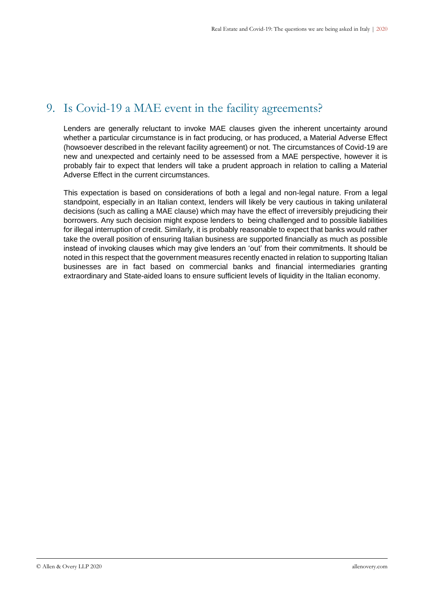### 9. Is Covid-19 a MAE event in the facility agreements?

Lenders are generally reluctant to invoke MAE clauses given the inherent uncertainty around whether a particular circumstance is in fact producing, or has produced, a Material Adverse Effect (howsoever described in the relevant facility agreement) or not. The circumstances of Covid-19 are new and unexpected and certainly need to be assessed from a MAE perspective, however it is probably fair to expect that lenders will take a prudent approach in relation to calling a Material Adverse Effect in the current circumstances.

This expectation is based on considerations of both a legal and non-legal nature. From a legal standpoint, especially in an Italian context, lenders will likely be very cautious in taking unilateral decisions (such as calling a MAE clause) which may have the effect of irreversibly prejudicing their borrowers. Any such decision might expose lenders to being challenged and to possible liabilities for illegal interruption of credit. Similarly, it is probably reasonable to expect that banks would rather take the overall position of ensuring Italian business are supported financially as much as possible instead of invoking clauses which may give lenders an 'out' from their commitments. It should be noted in this respect that the government measures recently enacted in relation to supporting Italian businesses are in fact based on commercial banks and financial intermediaries granting extraordinary and State-aided loans to ensure sufficient levels of liquidity in the Italian economy.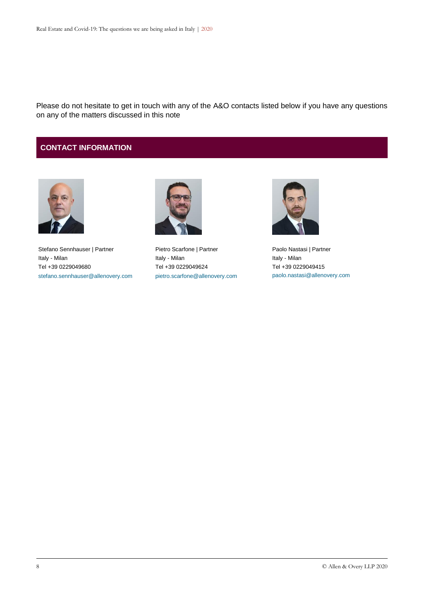Please do not hesitate to get in touch with any of the A&O contacts listed below if you have any questions on any of the matters discussed in this note

#### **CONTACT INFORMATION**



Stefano Sennhauser | Partner Italy - Milan Tel +39 0229049680 [stefano.sennhauser@allenovery.com](mailto:stefano.sennhauser@allenovery.com)



Pietro Scarfone | Partner Italy - Milan Tel +39 0229049624 [pietro.scarfone@allenovery.com](mailto:pietro.scarfone@allenovery.com)



Paolo Nastasi | Partner Italy - Milan Tel +39 0229049415 [paolo.nastasi@allenovery.com](mailto:paolo.nastasi@allenovery.com)